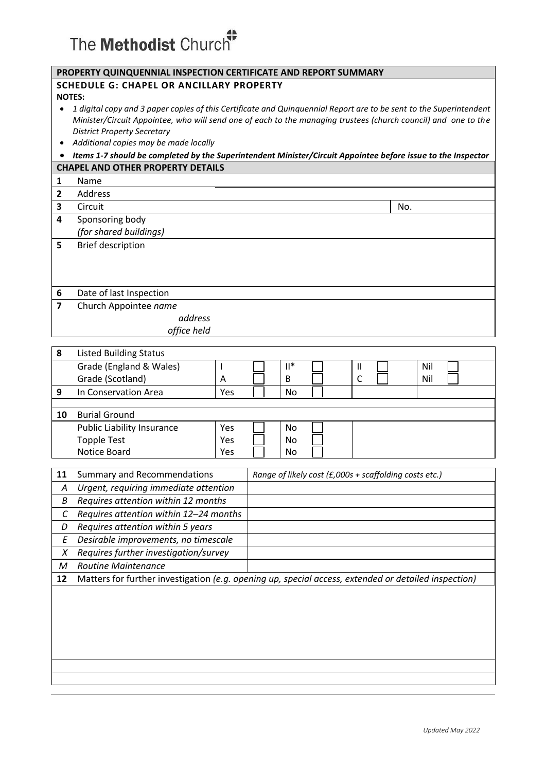## The Methodist Church<sup>#</sup>

| PROPERTY QUINQUENNIAL INSPECTION CERTIFICATE AND REPORT SUMMARY |                                                                                                                    |  |   |     |  |
|-----------------------------------------------------------------|--------------------------------------------------------------------------------------------------------------------|--|---|-----|--|
|                                                                 | <b>SCHEDULE G: CHAPEL OR ANCILLARY PROPERTY</b>                                                                    |  |   |     |  |
|                                                                 | <b>NOTES:</b>                                                                                                      |  |   |     |  |
|                                                                 | 1 digital copy and 3 paper copies of this Certificate and Quinguennial Report are to be sent to the Superintendent |  |   |     |  |
|                                                                 | Minister/Circuit Appointee, who will send one of each to the managing trustees (church council) and one to the     |  |   |     |  |
|                                                                 | <b>District Property Secretary</b>                                                                                 |  |   |     |  |
|                                                                 | Additional copies may be made locally                                                                              |  |   |     |  |
|                                                                 | Items 1-7 should be completed by the Superintendent Minister/Circuit Appointee before issue to the Inspector       |  |   |     |  |
| <b>CHAPEL AND OTHER PROPERTY DETAILS</b>                        |                                                                                                                    |  |   |     |  |
| 1                                                               | Name                                                                                                               |  |   |     |  |
| $\mathbf{2}$                                                    | Address                                                                                                            |  |   |     |  |
| 3                                                               | Circuit                                                                                                            |  |   | No. |  |
| 4                                                               | Sponsoring body                                                                                                    |  |   |     |  |
|                                                                 | (for shared buildings)                                                                                             |  |   |     |  |
| 5                                                               | <b>Brief description</b>                                                                                           |  |   |     |  |
|                                                                 |                                                                                                                    |  |   |     |  |
|                                                                 |                                                                                                                    |  |   |     |  |
|                                                                 |                                                                                                                    |  |   |     |  |
| 6                                                               | Date of last Inspection                                                                                            |  |   |     |  |
| 7                                                               | Church Appointee name                                                                                              |  |   |     |  |
|                                                                 | address                                                                                                            |  |   |     |  |
|                                                                 | office held                                                                                                        |  |   |     |  |
|                                                                 |                                                                                                                    |  |   |     |  |
| 8                                                               | <b>Listed Building Status</b>                                                                                      |  |   |     |  |
|                                                                 | $II^*$<br>Grade (England & Wales)                                                                                  |  | Ш | Nil |  |
|                                                                 | Grade (Scotland)<br>B<br>A                                                                                         |  | C | Nil |  |

|    | In Conservation Area              | Yes | No |  |  |
|----|-----------------------------------|-----|----|--|--|
|    |                                   |     |    |  |  |
| 10 | <b>Burial Ground</b>              |     |    |  |  |
|    | <b>Public Liability Insurance</b> | Yes | No |  |  |
|    | <b>Topple Test</b>                | Yes | No |  |  |
|    | Notice Board                      | Yes | No |  |  |

| 11 | <b>Summary and Recommendations</b>     | Range of likely cost (£,000s + scaffolding costs etc.)                                               |
|----|----------------------------------------|------------------------------------------------------------------------------------------------------|
| Α  | Urgent, requiring immediate attention  |                                                                                                      |
| В  | Requires attention within 12 months    |                                                                                                      |
| С  | Requires attention within 12-24 months |                                                                                                      |
| D  | Requires attention within 5 years      |                                                                                                      |
| Ε  | Desirable improvements, no timescale   |                                                                                                      |
| X  | Requires further investigation/survey  |                                                                                                      |
| м  | <b>Routine Maintenance</b>             |                                                                                                      |
| 12 |                                        | Matters for further investigation (e.g. opening up, special access, extended or detailed inspection) |
|    |                                        |                                                                                                      |
|    |                                        |                                                                                                      |
|    |                                        |                                                                                                      |
|    |                                        |                                                                                                      |